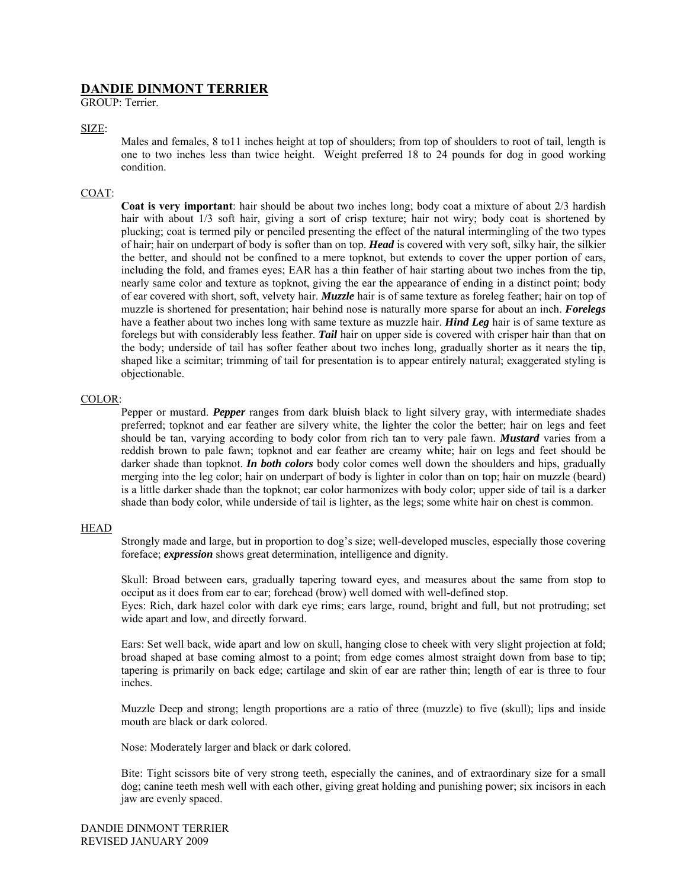# **DANDIE DINMONT TERRIER**

GROUP: Terrier.

# SIZE:

Males and females, 8 to11 inches height at top of shoulders; from top of shoulders to root of tail, length is one to two inches less than twice height. Weight preferred 18 to 24 pounds for dog in good working condition.

## COAT:

**Coat is very important**: hair should be about two inches long; body coat a mixture of about 2/3 hardish hair with about 1/3 soft hair, giving a sort of crisp texture; hair not wiry; body coat is shortened by plucking; coat is termed pily or penciled presenting the effect of the natural intermingling of the two types of hair; hair on underpart of body is softer than on top. *Head* is covered with very soft, silky hair, the silkier the better, and should not be confined to a mere topknot, but extends to cover the upper portion of ears, including the fold, and frames eyes; EAR has a thin feather of hair starting about two inches from the tip, nearly same color and texture as topknot, giving the ear the appearance of ending in a distinct point; body of ear covered with short, soft, velvety hair. *Muzzle* hair is of same texture as foreleg feather; hair on top of muzzle is shortened for presentation; hair behind nose is naturally more sparse for about an inch. *Forelegs* have a feather about two inches long with same texture as muzzle hair. *Hind Leg* hair is of same texture as forelegs but with considerably less feather. *Tail* hair on upper side is covered with crisper hair than that on the body; underside of tail has softer feather about two inches long, gradually shorter as it nears the tip, shaped like a scimitar; trimming of tail for presentation is to appear entirely natural; exaggerated styling is objectionable.

### COLOR:

Pepper or mustard. *Pepper* ranges from dark bluish black to light silvery gray, with intermediate shades preferred; topknot and ear feather are silvery white, the lighter the color the better; hair on legs and feet should be tan, varying according to body color from rich tan to very pale fawn. *Mustard* varies from a reddish brown to pale fawn; topknot and ear feather are creamy white; hair on legs and feet should be darker shade than topknot. *In both colors* body color comes well down the shoulders and hips, gradually merging into the leg color; hair on underpart of body is lighter in color than on top; hair on muzzle (beard) is a little darker shade than the topknot; ear color harmonizes with body color; upper side of tail is a darker shade than body color, while underside of tail is lighter, as the legs; some white hair on chest is common.

### HEAD

Strongly made and large, but in proportion to dog's size; well-developed muscles, especially those covering foreface; *expression* shows great determination, intelligence and dignity.

Skull: Broad between ears, gradually tapering toward eyes, and measures about the same from stop to occiput as it does from ear to ear; forehead (brow) well domed with well-defined stop.

Eyes: Rich, dark hazel color with dark eye rims; ears large, round, bright and full, but not protruding; set wide apart and low, and directly forward.

Ears: Set well back, wide apart and low on skull, hanging close to cheek with very slight projection at fold; broad shaped at base coming almost to a point; from edge comes almost straight down from base to tip; tapering is primarily on back edge; cartilage and skin of ear are rather thin; length of ear is three to four inches.

Muzzle Deep and strong; length proportions are a ratio of three (muzzle) to five (skull); lips and inside mouth are black or dark colored.

Nose: Moderately larger and black or dark colored.

Bite: Tight scissors bite of very strong teeth, especially the canines, and of extraordinary size for a small dog; canine teeth mesh well with each other, giving great holding and punishing power; six incisors in each jaw are evenly spaced.